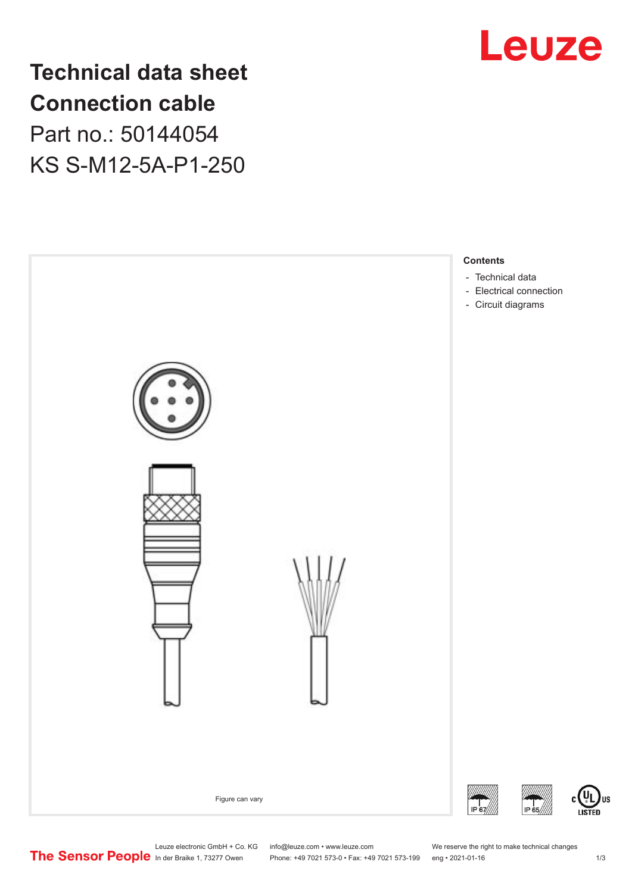

**Technical data sheet Connection cable** Part no.: 50144054 KS S-M12-5A-P1-250



US

Leuze electronic GmbH + Co. KG info@leuze.com • www.leuze.com We reserve the right to make technical changes<br>
The Sensor People in der Braike 1, 73277 Owen Phone: +49 7021 573-0 • Fax: +49 7021 573-199 eng • 2021-01-16

Phone: +49 7021 573-0 • Fax: +49 7021 573-199 eng • 2021-01-16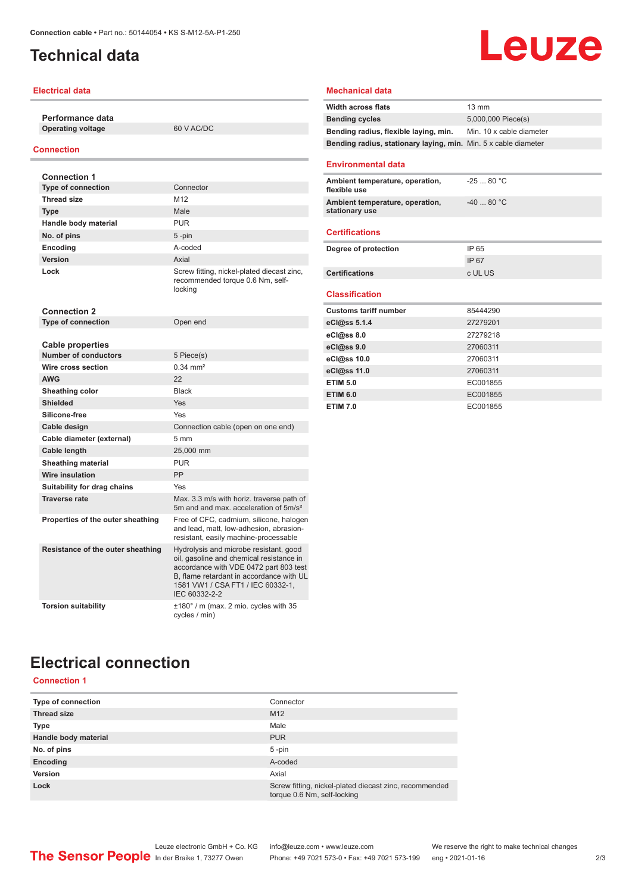# <span id="page-1-0"></span>**Technical data**

## **Electrical data**

**Performance data Operating voltage** 60 V AC/DC

#### **Connection**

| <b>Connection 1</b>               |                                                                                                                                                                                                                                |
|-----------------------------------|--------------------------------------------------------------------------------------------------------------------------------------------------------------------------------------------------------------------------------|
| <b>Type of connection</b>         | Connector                                                                                                                                                                                                                      |
| <b>Thread size</b>                | M12                                                                                                                                                                                                                            |
| <b>Type</b>                       | Male                                                                                                                                                                                                                           |
| Handle body material              | <b>PUR</b>                                                                                                                                                                                                                     |
| No. of pins                       | 5-pin                                                                                                                                                                                                                          |
| Encoding                          | A-coded                                                                                                                                                                                                                        |
| Version                           | Axial                                                                                                                                                                                                                          |
| Lock                              | Screw fitting, nickel-plated diecast zinc,<br>recommended torque 0.6 Nm, self-<br>locking                                                                                                                                      |
| <b>Connection 2</b>               |                                                                                                                                                                                                                                |
| <b>Type of connection</b>         | Open end                                                                                                                                                                                                                       |
|                                   |                                                                                                                                                                                                                                |
| <b>Cable properties</b>           |                                                                                                                                                                                                                                |
| <b>Number of conductors</b>       | 5 Piece(s)<br>$0.34 \, \text{mm}^2$                                                                                                                                                                                            |
| Wire cross section                |                                                                                                                                                                                                                                |
| <b>AWG</b>                        | 22                                                                                                                                                                                                                             |
| Sheathing color                   | <b>Black</b>                                                                                                                                                                                                                   |
| <b>Shielded</b>                   | Yes                                                                                                                                                                                                                            |
| Silicone-free                     | Yes                                                                                                                                                                                                                            |
| Cable design                      | Connection cable (open on one end)                                                                                                                                                                                             |
| Cable diameter (external)         | 5 <sub>mm</sub>                                                                                                                                                                                                                |
| Cable length                      | 25,000 mm                                                                                                                                                                                                                      |
| Sheathing material                | <b>PUR</b>                                                                                                                                                                                                                     |
| <b>Wire insulation</b>            | <b>PP</b>                                                                                                                                                                                                                      |
| Suitability for drag chains       | Yes                                                                                                                                                                                                                            |
| <b>Traverse rate</b>              | Max. 3.3 m/s with horiz. traverse path of<br>5m and and max, acceleration of 5m/s <sup>2</sup>                                                                                                                                 |
| Properties of the outer sheathing | Free of CFC, cadmium, silicone, halogen<br>and lead, matt, low-adhesion, abrasion-<br>resistant, easily machine-processable                                                                                                    |
| Resistance of the outer sheathing | Hydrolysis and microbe resistant, good<br>oil, gasoline and chemical resistance in<br>accordance with VDE 0472 part 803 test<br>B. flame retardant in accordance with UL<br>1581 VW1 / CSA FT1 / IEC 60332-1,<br>IEC 60332-2-2 |
| <b>Torsion suitability</b>        | $\pm 180^\circ$ / m (max. 2 mio. cycles with 35<br>cycles / min)                                                                                                                                                               |

# **Leuze**

#### **Mechanical data**

| <b>Width across flats</b>                                       | 13 mm                    |  |
|-----------------------------------------------------------------|--------------------------|--|
| <b>Bending cycles</b>                                           | 5,000,000 Piece(s)       |  |
| Bending radius, flexible laying, min.                           | Min. 10 x cable diameter |  |
| Bending radius, stationary laying, min. Min. 5 x cable diameter |                          |  |
| <b>Environmental data</b>                                       |                          |  |
|                                                                 |                          |  |
| Ambient temperature, operation,<br>flexible use                 | $-2580 °C$               |  |
| Ambient temperature, operation,<br>stationary use               | $-40.80 °C$              |  |
| <b>Certifications</b>                                           |                          |  |
| Degree of protection                                            | IP 65                    |  |
|                                                                 | IP 67                    |  |
| <b>Certifications</b>                                           | c UL US                  |  |
| <b>Classification</b>                                           |                          |  |
| <b>Customs tariff number</b>                                    | 85444290                 |  |
| eCl@ss 5.1.4                                                    | 27279201                 |  |
| eCl@ss 8.0                                                      | 27279218                 |  |
| eCl@ss 9.0                                                      | 27060311                 |  |
| eCl@ss 10.0                                                     | 27060311                 |  |
| eCl@ss 11.0                                                     | 27060311                 |  |
| <b>ETIM 5.0</b>                                                 | EC001855                 |  |
| <b>ETIM 6.0</b>                                                 | EC001855                 |  |
| <b>ETIM 7.0</b>                                                 | EC001855                 |  |

# **Electrical connection**

## **Connection 1**

| Type of connection   | Connector                                                                             |
|----------------------|---------------------------------------------------------------------------------------|
| <b>Thread size</b>   | M <sub>12</sub>                                                                       |
| <b>Type</b>          | Male                                                                                  |
| Handle body material | <b>PUR</b>                                                                            |
| No. of pins          | $5 - pin$                                                                             |
| Encoding             | A-coded                                                                               |
| Version              | Axial                                                                                 |
| Lock                 | Screw fitting, nickel-plated diecast zinc, recommended<br>torque 0.6 Nm, self-locking |